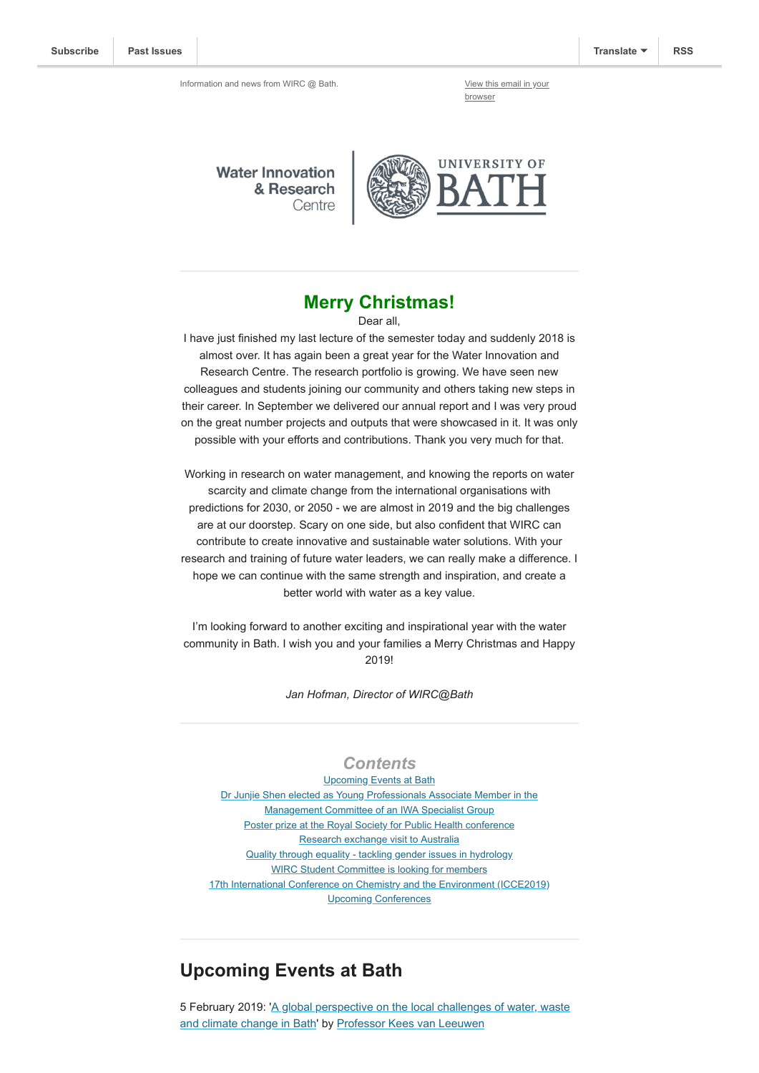browser

**Water Innovation** & Research Centre



#### **Merry Christmas!**

Dear all,

I have just finished my last lecture of the semester today and suddenly 2018 is almost over. It has again been a great year for the Water Innovation and Research Centre. The research portfolio is growing. We have seen new colleagues and students joining our community and others taking new steps in their career. In September we delivered our annual report and I was very proud on the great number projects and outputs that were showcased in it. It was only possible with your efforts and contributions. Thank you very much for that.

Working in research on water management, and knowing the reports on water scarcity and climate change from the international organisations with predictions for 2030, or 2050 - we are almost in 2019 and the big challenges are at our doorstep. Scary on one side, but also confident that WIRC can contribute to create innovative and sustainable water solutions. With your research and training of future water leaders, we can really make a difference. I hope we can continue with the same strength and inspiration, and create a better world with water as a key value.

I'm looking forward to another exciting and inspirational year with the water community in Bath. I wish you and your families a Merry Christmas and Happy 2019!

*Jan Hofman, Director of WIRC@Bath*

#### *Contents*

Upcoming Events at Bath [Dr Junjie Shen elected as Young Professionals Associate M](#page-1-0)ember in the Management Committee of an IWA Specialist Group [Poster prize at the Royal Society for Public Health conference](#page-1-1) [Research exchange visit to Australia](#page-2-0) [Quality through equality - tackling gender issues in hydrology](#page-2-1) [WIRC Student Committee is looking for members](#page-2-2) [17th International Conference on Chemistry and the Environment \(ICCE2019\)](#page-2-3) [Upcoming Conferences](#page-3-0)

#### **Upcoming Events at Bath**

[5 February 2019: 'A global perspective on the local challenges of water, waste](https://www.eventbrite.co.uk/e/a-global-perspective-on-the-local-challenges-of-water-in-bath-tickets-53640495165) and climate change in Bath' by [Professor Kees van Leeuwen](https://www.kwrwater.nl/en/experts-expertises/experts/kees-van-leeuwen/)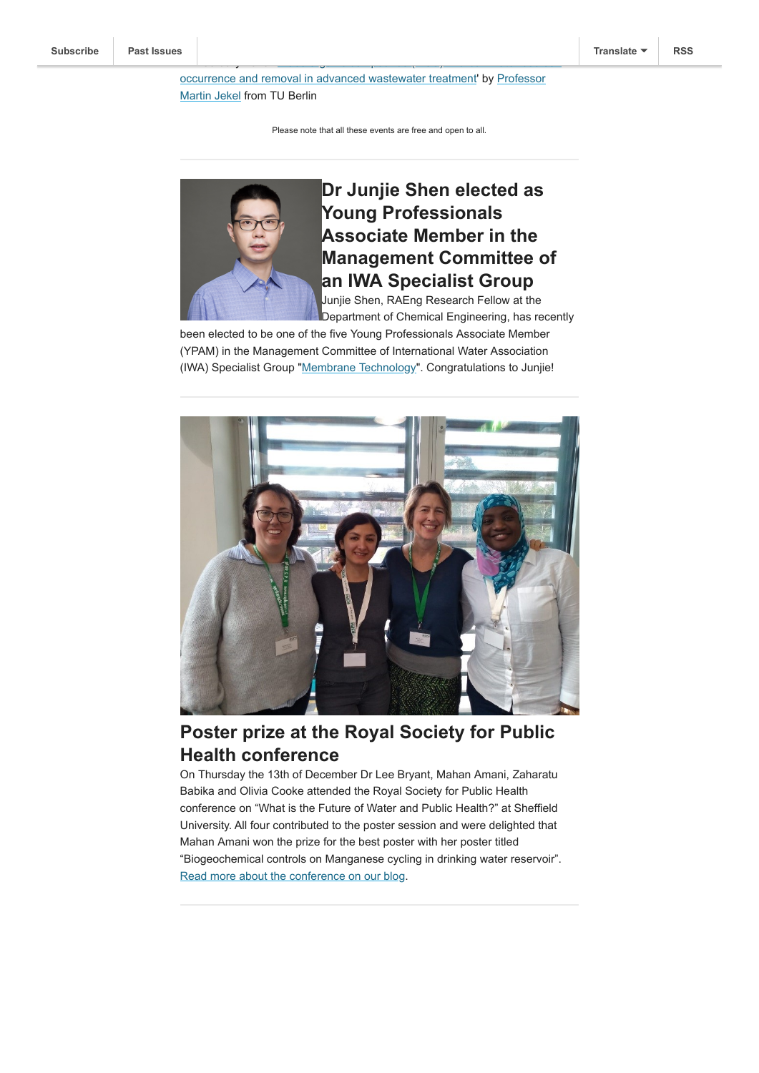[occurrence and removal in advanced wastewater treatment' by Professor](https://www.researchgate.net/profile/Martin_Jekel) Martin Jekel from TU Berlin

14 February 2019: 'Trace organic compounds (TroC) in urban water bodies (TroC) in urban water bodies - bodies <br>14 February 2019: 'Trace of the Urban water bodies - bodies - bodies - bodies - bodies - bodies - bodies - bod

Please note that all these events are free and open to all.

<span id="page-1-0"></span>

# **Dr Junjie Shen elected as Young Professionals Associate Member in the Management Committee of an IWA Specialist Group**

Junjie Shen, RAEng Research Fellow at the Department of Chemical Engineering, has recently

been elected to be one of the five Young Professionals Associate Member (YPAM) in the Management Committee of International Water Association (IWA) Specialist Group "[Membrane Technology"](https://iwa-connect.org/#/group/membrane-technology). Congratulations to Junjie!



# <span id="page-1-1"></span>**Poster prize at the Royal Society for Public Health conference**

On Thursday the 13th of December Dr Lee Bryant, Mahan Amani, Zaharatu Babika and Olivia Cooke attended the Royal Society for Public Health conference on "What is the Future of Water and Public Health?" at Sheffield University. All four contributed to the poster session and were delighted that Mahan Amani won the prize for the best poster with her poster titled "Biogeochemical controls on Manganese cycling in drinking water reservoir". [Read more about the conference on our blog](http://blogs.bath.ac.uk/water/2018/12/18/poster-prize-at-the-royal-society-for-public-health-conference/).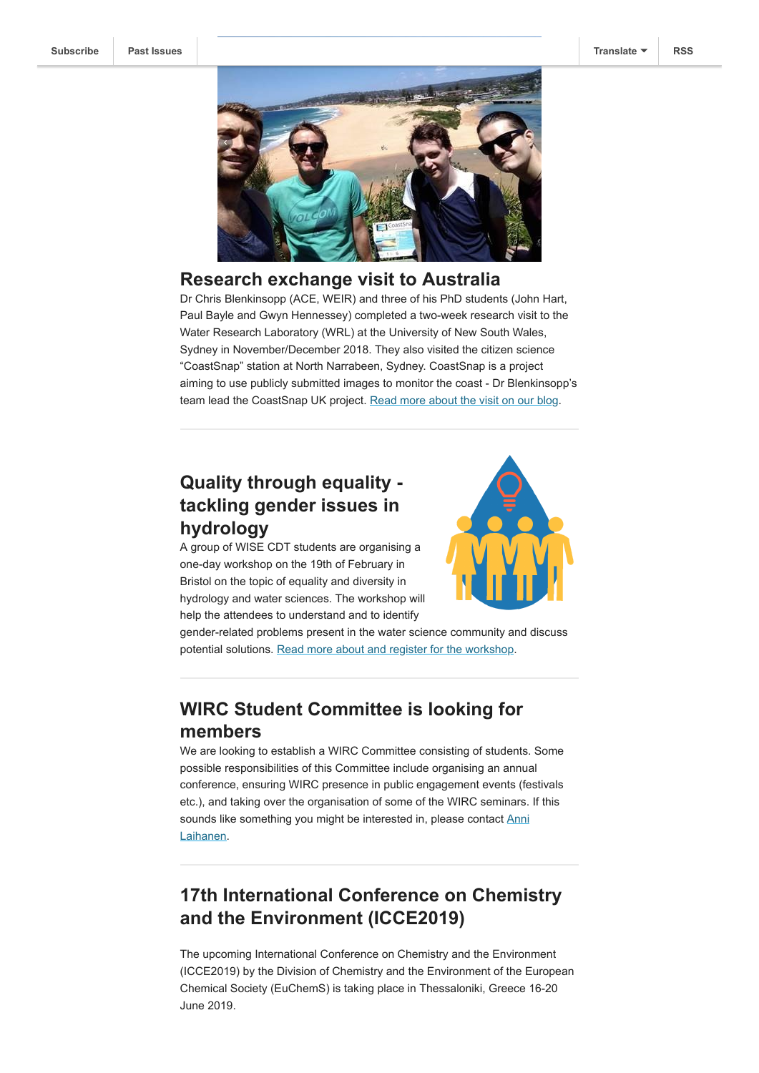

#### <span id="page-2-0"></span>**Research exchange visit to Australia**

Dr Chris Blenkinsopp (ACE, WEIR) and three of his PhD students (John Hart, Paul Bayle and Gwyn Hennessey) completed a two-week research visit to the Water Research Laboratory (WRL) at the University of New South Wales, Sydney in November/December 2018. They also visited the citizen science "CoastSnap" station at North Narrabeen, Sydney. CoastSnap is a project aiming to use publicly submitted images to monitor the coast - Dr Blenkinsopp's team lead the CoastSnap UK project. [Read more about the visit on our blog.](http://blogs.bath.ac.uk/water/2018/12/19/research-exchange-visit-to-australia/)

## <span id="page-2-1"></span>**Quality through equality tackling gender issues in hydrology**

A group of WISE CDT students are organising a one-day workshop on the 19th of February in Bristol on the topic of equality and diversity in hydrology and water sciences. The workshop will help the attendees to understand and to identify



gender-related problems present in the water science community and discuss potential solutions. [Read more about and register for the workshop.](https://seis.bristol.ac.uk/~sg16200/index.html)

# <span id="page-2-2"></span>**WIRC Student Committee is looking for members**

We are looking to establish a WIRC Committee consisting of students. Some possible responsibilities of this Committee include organising an annual conference, ensuring WIRC presence in public engagement events (festivals etc.), and taking over the organisation of some of the WIRC seminars. If this [sounds like something you might be interested in, please contact Anni](mailto:aml52@bath.ac.uk?subject=WIRC%20Student%20Committee) Laihanen.

## <span id="page-2-3"></span>**17th International Conference on Chemistry and the Environment (ICCE2019)**

The upcoming International Conference on Chemistry and the Environment (ICCE2019) by the Division of Chemistry and the Environment of the European Chemical Society (EuChemS) is taking place in Thessaloniki, Greece 16-20 June 2019.